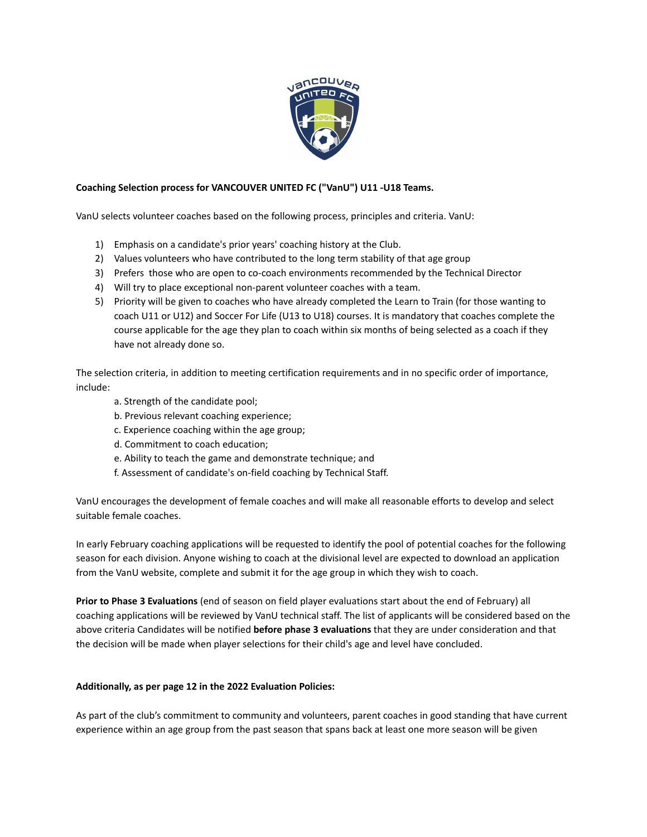

## **Coaching Selection process for VANCOUVER UNITED FC ("VanU") U11 -U18 Teams.**

VanU selects volunteer coaches based on the following process, principles and criteria. VanU:

- 1) Emphasis on a candidate's prior years' coaching history at the Club.
- 2) Values volunteers who have contributed to the long term stability of that age group
- 3) Prefers those who are open to co-coach environments recommended by the Technical Director
- 4) Will try to place exceptional non-parent volunteer coaches with a team.
- 5) Priority will be given to coaches who have already completed the Learn to Train (for those wanting to coach U11 or U12) and Soccer For Life (U13 to U18) courses. It is mandatory that coaches complete the course applicable for the age they plan to coach within six months of being selected as a coach if they have not already done so.

The selection criteria, in addition to meeting certification requirements and in no specific order of importance, include:

- a. Strength of the candidate pool;
- b. Previous relevant coaching experience;
- c. Experience coaching within the age group;
- d. Commitment to coach education;
- e. Ability to teach the game and demonstrate technique; and
- f. Assessment of candidate's on-field coaching by Technical Staff.

VanU encourages the development of female coaches and will make all reasonable efforts to develop and select suitable female coaches.

In early February coaching applications will be requested to identify the pool of potential coaches for the following season for each division. Anyone wishing to coach at the divisional level are expected to download an application from the VanU website, complete and submit it for the age group in which they wish to coach.

**Prior to Phase 3 Evaluations** (end of season on field player evaluations start about the end of February) all coaching applications will be reviewed by VanU technical staff. The list of applicants will be considered based on the above criteria Candidates will be notified **before phase 3 evaluations** that they are under consideration and that the decision will be made when player selections for their child's age and level have concluded.

## **Additionally, as per page 12 in the 2022 Evaluation Policies:**

As part of the club's commitment to community and volunteers, parent coaches in good standing that have current experience within an age group from the past season that spans back at least one more season will be given